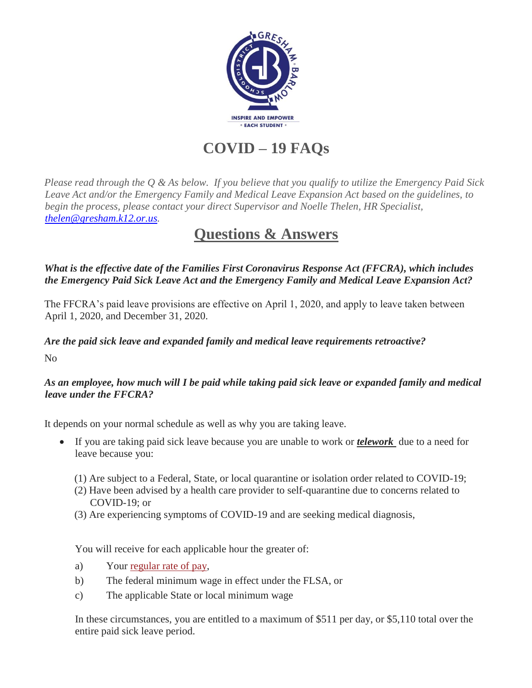

**COVID – 19 FAQs**

*Please read through the Q & As below. If you believe that you qualify to utilize the Emergency Paid Sick Leave Act and/or the Emergency Family and Medical Leave Expansion Act based on the guidelines, to begin the process, please contact your direct Supervisor and Noelle Thelen, HR Specialist, [thelen@gresham.k12.or.us.](thelen@gresham.k12.or.us)*

# **Questions & Answers**

*What is the effective date of the Families First Coronavirus Response Act (FFCRA), which includes the Emergency Paid Sick Leave Act and the Emergency Family and Medical Leave Expansion Act?*

The FFCRA's paid leave provisions are effective on April 1, 2020, and apply to leave taken between April 1, 2020, and December 31, 2020.

## *Are the paid sick leave and expanded family and medical leave requirements retroactive?*

No

## *As an employee, how much will I be paid while taking paid sick leave or expanded family and medical leave under the FFCRA?*

It depends on your normal schedule as well as why you are taking leave.

- If you are taking paid sick leave because you are unable to work or *telework* due to a need for leave because you:
	- (1) Are subject to a Federal, State, or local quarantine or isolation order related to COVID-19;
	- (2) Have been advised by a health care provider to self-quarantine due to concerns related to COVID-19; or
	- (3) Are experiencing symptoms of COVID-19 and are seeking medical diagnosis,

You will receive for each applicable hour the greater of:

- a) Your [regular rate of pay,](https://www.dol.gov/agencies/whd/fact-sheets/56a-regular-rate)
- b) The federal minimum wage in effect under the FLSA, or
- c) The applicable State or local minimum wage

In these circumstances, you are entitled to a maximum of \$511 per day, or \$5,110 total over the entire paid sick leave period.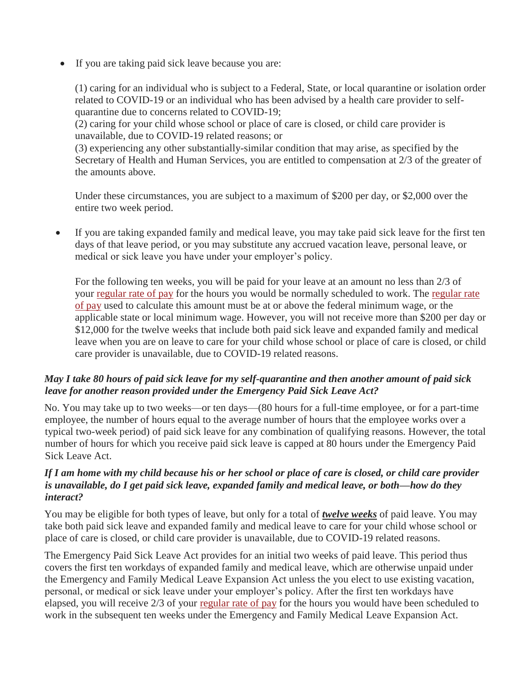• If you are taking paid sick leave because you are:

(1) caring for an individual who is subject to a Federal, State, or local quarantine or isolation order related to COVID-19 or an individual who has been advised by a health care provider to selfquarantine due to concerns related to COVID-19;

(2) caring for your child whose school or place of care is closed, or child care provider is unavailable, due to COVID-19 related reasons; or

(3) experiencing any other substantially-similar condition that may arise, as specified by the Secretary of Health and Human Services, you are entitled to compensation at 2/3 of the greater of the amounts above.

Under these circumstances, you are subject to a maximum of \$200 per day, or \$2,000 over the entire two week period.

 If you are taking expanded family and medical leave, you may take paid sick leave for the first ten days of that leave period, or you may substitute any accrued vacation leave, personal leave, or medical or sick leave you have under your employer's policy.

For the following ten weeks, you will be paid for your leave at an amount no less than 2/3 of your [regular rate of pay](https://www.dol.gov/agencies/whd/fact-sheets/56a-regular-rate) for the hours you would be normally scheduled to work. The [regular rate](https://www.dol.gov/agencies/whd/fact-sheets/56a-regular-rate)  [of pay](https://www.dol.gov/agencies/whd/fact-sheets/56a-regular-rate) used to calculate this amount must be at or above the federal minimum wage, or the applicable state or local minimum wage. However, you will not receive more than \$200 per day or \$12,000 for the twelve weeks that include both paid sick leave and expanded family and medical leave when you are on leave to care for your child whose school or place of care is closed, or child care provider is unavailable, due to COVID-19 related reasons.

#### *May I take 80 hours of paid sick leave for my self-quarantine and then another amount of paid sick leave for another reason provided under the Emergency Paid Sick Leave Act?*

No. You may take up to two weeks—or ten days—(80 hours for a full-time employee, or for a part-time employee, the number of hours equal to the average number of hours that the employee works over a typical two-week period) of paid sick leave for any combination of qualifying reasons. However, the total number of hours for which you receive paid sick leave is capped at 80 hours under the Emergency Paid Sick Leave Act.

#### *If I am home with my child because his or her school or place of care is closed, or child care provider is unavailable, do I get paid sick leave, expanded family and medical leave, or both—how do they interact?*

You may be eligible for both types of leave, but only for a total of *twelve weeks* of paid leave. You may take both paid sick leave and expanded family and medical leave to care for your child whose school or place of care is closed, or child care provider is unavailable, due to COVID-19 related reasons.

The Emergency Paid Sick Leave Act provides for an initial two weeks of paid leave. This period thus covers the first ten workdays of expanded family and medical leave, which are otherwise unpaid under the Emergency and Family Medical Leave Expansion Act unless the you elect to use existing vacation, personal, or medical or sick leave under your employer's policy. After the first ten workdays have elapsed, you will receive 2/3 of your [regular rate of pay](https://www.dol.gov/agencies/whd/fact-sheets/56a-regular-rate) for the hours you would have been scheduled to work in the subsequent ten weeks under the Emergency and Family Medical Leave Expansion Act.